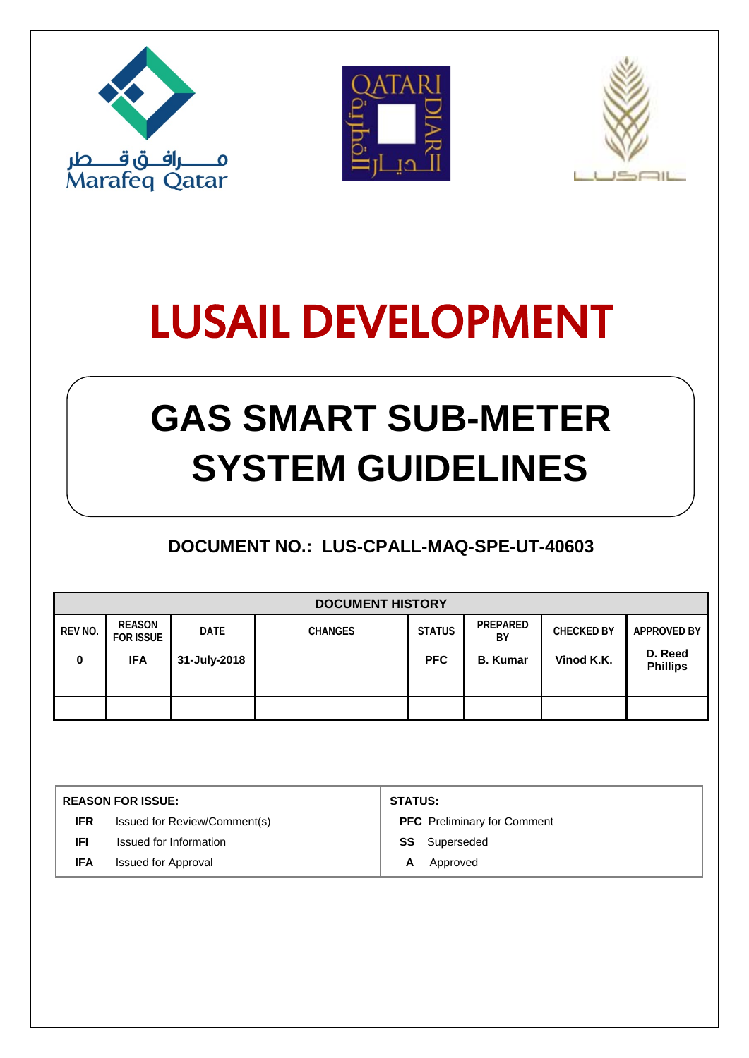





# LUSAIL DEVELOPMENT

## **GAS SMART SUB-METER SYSTEM GUIDELINES**

## **DOCUMENT NO.: LUS-CPALL-MAQ-SPE-UT-40603**

| <b>DOCUMENT HISTORY</b> |                            |              |                |               |                 |                   |                            |  |  |
|-------------------------|----------------------------|--------------|----------------|---------------|-----------------|-------------------|----------------------------|--|--|
| REV NO.                 | REASON<br><b>FOR ISSUE</b> | <b>DATE</b>  | <b>CHANGES</b> | <b>STATUS</b> | PREPARED<br>ΒY  | <b>CHECKED BY</b> | <b>APPROVED BY</b>         |  |  |
| 0                       | <b>IFA</b>                 | 31-July-2018 |                | <b>PFC</b>    | <b>B.</b> Kumar | Vinod K.K.        | D. Reed<br><b>Phillips</b> |  |  |
|                         |                            |              |                |               |                 |                   |                            |  |  |
|                         |                            |              |                |               |                 |                   |                            |  |  |

| <b>REASON FOR ISSUE:</b> |                              | <b>STATUS:</b>                     |  |  |  |
|--------------------------|------------------------------|------------------------------------|--|--|--|
| <b>IFR</b>               | Issued for Review/Comment(s) | <b>PFC</b> Preliminary for Comment |  |  |  |
| IFI                      | Issued for Information       | Superseded<br>SS                   |  |  |  |
| <b>IFA</b>               | <b>Issued for Approval</b>   | Approved<br>A                      |  |  |  |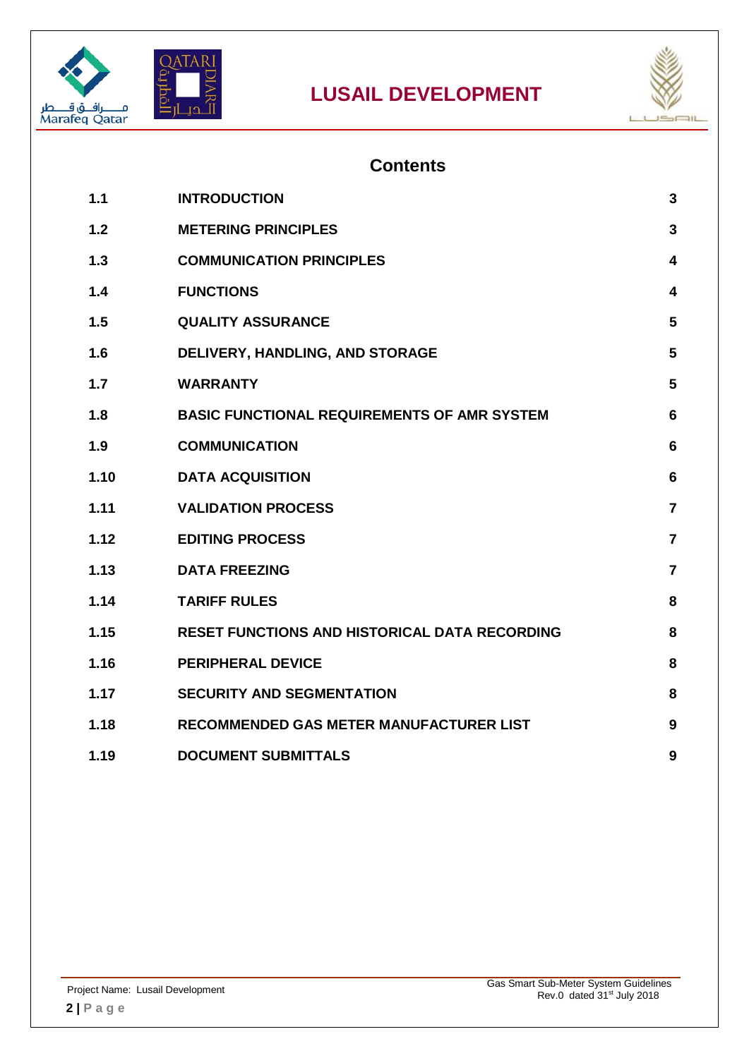



### **Contents**

| 1.1  | <b>INTRODUCTION</b>                                  | $\mathbf{3}$            |
|------|------------------------------------------------------|-------------------------|
| 1.2  | <b>METERING PRINCIPLES</b>                           | $\overline{3}$          |
| 1.3  | <b>COMMUNICATION PRINCIPLES</b>                      | $\overline{\mathbf{4}}$ |
| 1.4  | <b>FUNCTIONS</b>                                     | $\overline{\mathbf{4}}$ |
| 1.5  | <b>QUALITY ASSURANCE</b>                             | 5                       |
| 1.6  | DELIVERY, HANDLING, AND STORAGE                      | 5                       |
| 1.7  | <b>WARRANTY</b>                                      | 5                       |
| 1.8  | <b>BASIC FUNCTIONAL REQUIREMENTS OF AMR SYSTEM</b>   | $6\phantom{1}$          |
| 1.9  | <b>COMMUNICATION</b>                                 | $6\phantom{1}$          |
| 1.10 | <b>DATA ACQUISITION</b>                              | 6                       |
| 1.11 | <b>VALIDATION PROCESS</b>                            | $\overline{7}$          |
| 1.12 | <b>EDITING PROCESS</b>                               | $\overline{7}$          |
| 1.13 | <b>DATA FREEZING</b>                                 | $\overline{7}$          |
| 1.14 | <b>TARIFF RULES</b>                                  | 8                       |
| 1.15 | <b>RESET FUNCTIONS AND HISTORICAL DATA RECORDING</b> | 8                       |
| 1.16 | <b>PERIPHERAL DEVICE</b>                             | 8                       |
| 1.17 | <b>SECURITY AND SEGMENTATION</b>                     | 8                       |
| 1.18 | <b>RECOMMENDED GAS METER MANUFACTURER LIST</b>       | 9                       |
| 1.19 | <b>DOCUMENT SUBMITTALS</b>                           | 9                       |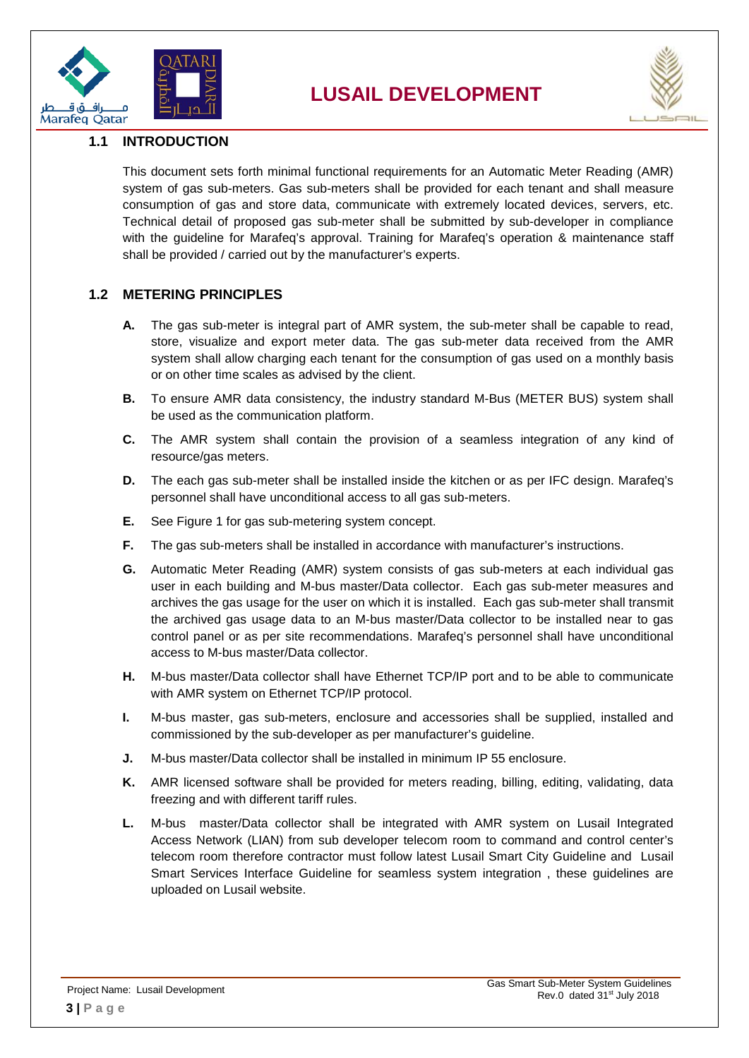



#### <span id="page-2-0"></span>**1.1 INTRODUCTION**

This document sets forth minimal functional requirements for an Automatic Meter Reading (AMR) system of gas sub-meters. Gas sub-meters shall be provided for each tenant and shall measure consumption of gas and store data, communicate with extremely located devices, servers, etc. Technical detail of proposed gas sub-meter shall be submitted by sub-developer in compliance with the guideline for Marafeq's approval. Training for Marafeq's operation & maintenance staff shall be provided / carried out by the manufacturer's experts.

#### <span id="page-2-1"></span>**1.2 METERING PRINCIPLES**

- **A.** The gas sub-meter is integral part of AMR system, the sub-meter shall be capable to read, store, visualize and export meter data. The gas sub-meter data received from the AMR system shall allow charging each tenant for the consumption of gas used on a monthly basis or on other time scales as advised by the client.
- **B.** To ensure AMR data consistency, the industry standard M-Bus (METER BUS) system shall be used as the communication platform.
- **C.** The AMR system shall contain the provision of a seamless integration of any kind of resource/gas meters.
- **D.** The each gas sub-meter shall be installed inside the kitchen or as per IFC design. Marafeq's personnel shall have unconditional access to all gas sub-meters.
- **E.** See Figure 1 for gas sub-metering system concept.
- **F.** The gas sub-meters shall be installed in accordance with manufacturer's instructions.
- **G.** Automatic Meter Reading (AMR) system consists of gas sub-meters at each individual gas user in each building and M-bus master/Data collector. Each gas sub-meter measures and archives the gas usage for the user on which it is installed. Each gas sub-meter shall transmit the archived gas usage data to an M-bus master/Data collector to be installed near to gas control panel or as per site recommendations. Marafeq's personnel shall have unconditional access to M-bus master/Data collector.
- **H.** M-bus master/Data collector shall have Ethernet TCP/IP port and to be able to communicate with AMR system on Ethernet TCP/IP protocol.
- **I.** M-bus master, gas sub-meters, enclosure and accessories shall be supplied, installed and commissioned by the sub-developer as per manufacturer's guideline.
- **J.** M-bus master/Data collector shall be installed in minimum IP 55 enclosure.
- **K.** AMR licensed software shall be provided for meters reading, billing, editing, validating, data freezing and with different tariff rules.
- **L.** M-bus master/Data collector shall be integrated with AMR system on Lusail Integrated Access Network (LIAN) from sub developer telecom room to command and control center's telecom room therefore contractor must follow latest Lusail Smart City Guideline and Lusail Smart Services Interface Guideline for seamless system integration , these guidelines are uploaded on Lusail website.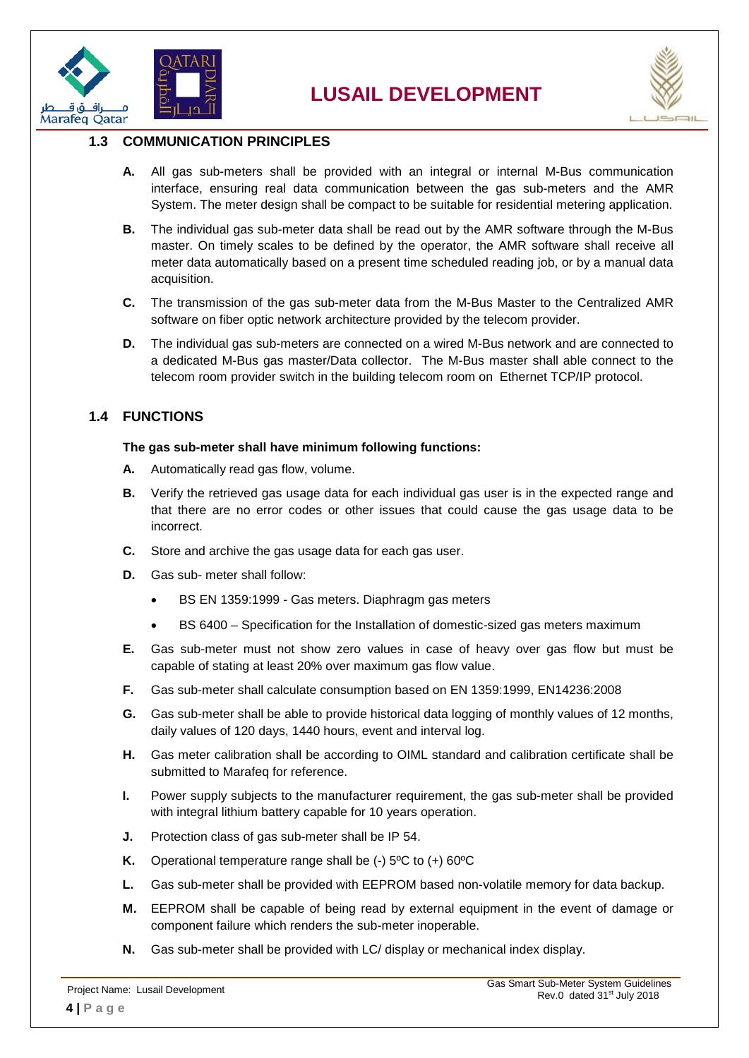



#### <span id="page-3-0"></span>**1.3 COMMUNICATION PRINCIPLES**

- **A.** All gas sub-meters shall be provided with an integral or internal M-Bus communication interface, ensuring real data communication between the gas sub-meters and the AMR System. The meter design shall be compact to be suitable for residential metering application.
- **B.** The individual gas sub-meter data shall be read out by the AMR software through the M-Bus master. On timely scales to be defined by the operator, the AMR software shall receive all meter data automatically based on a present time scheduled reading job, or by a manual data acquisition.
- **C.** The transmission of the gas sub-meter data from the M-Bus Master to the Centralized AMR software on fiber optic network architecture provided by the telecom provider.
- **D.** The individual gas sub-meters are connected on a wired M-Bus network and are connected to a dedicated M-Bus gas master/Data collector. The M-Bus master shall able connect to the telecom room provider switch in the building telecom room on Ethernet TCP/IP protocol.

#### <span id="page-3-1"></span>**1.4 FUNCTIONS**

#### **The gas sub-meter shall have minimum following functions:**

- **A.** Automatically read gas flow, volume.
- **B.** Verify the retrieved gas usage data for each individual gas user is in the expected range and that there are no error codes or other issues that could cause the gas usage data to be incorrect.
- **C.** Store and archive the gas usage data for each gas user.
- **D.** Gas sub- meter shall follow:
	- BS EN 1359:1999 Gas meters. Diaphragm gas meters
	- BS 6400 Specification for the Installation of domestic-sized gas meters maximum
- **E.** Gas sub-meter must not show zero values in case of heavy over gas flow but must be capable of stating at least 20% over maximum gas flow value.
- **F.** Gas sub-meter shall calculate consumption based on EN 1359:1999, EN14236:2008
- **G.** Gas sub-meter shall be able to provide historical data logging of monthly values of 12 months, daily values of 120 days, 1440 hours, event and interval log.
- **H.** Gas meter calibration shall be according to OIML standard and calibration certificate shall be submitted to Marafeq for reference.
- **I.** Power supply subjects to the manufacturer requirement, the gas sub-meter shall be provided with integral lithium battery capable for 10 years operation.
- **J.** Protection class of gas sub-meter shall be IP 54.
- **K.** Operational temperature range shall be (-) 5ºC to (+) 60ºC
- **L.** Gas sub-meter shall be provided with EEPROM based non-volatile memory for data backup.
- **M.** EEPROM shall be capable of being read by external equipment in the event of damage or component failure which renders the sub-meter inoperable.
- **N.** Gas sub-meter shall be provided with LC/ display or mechanical index display.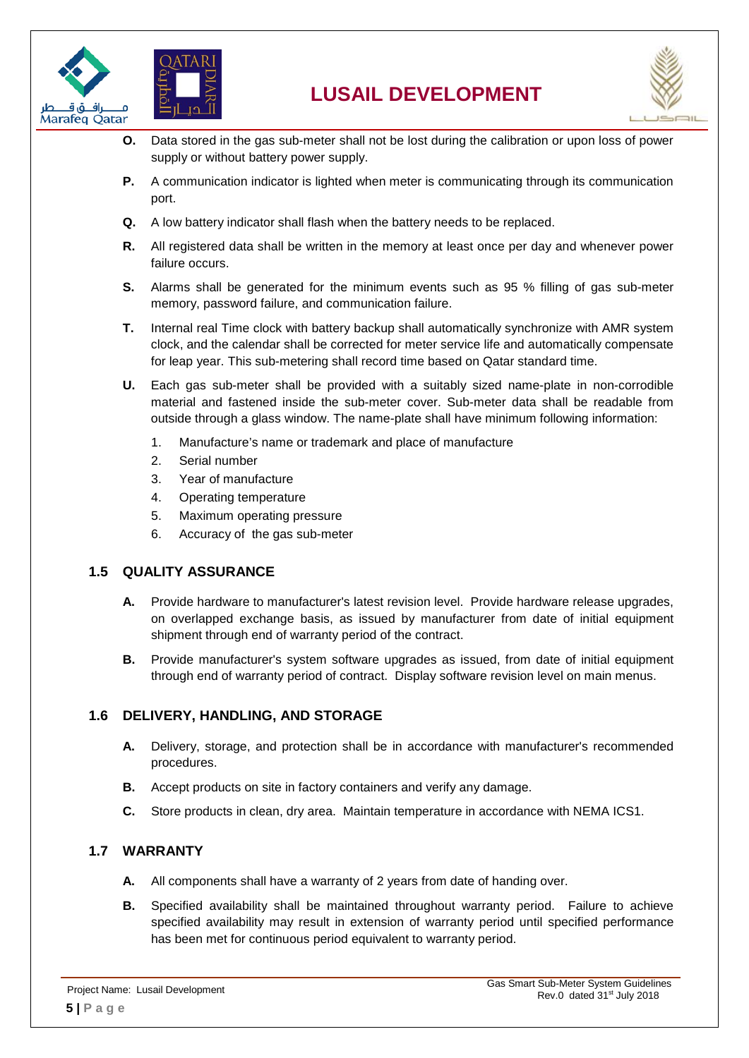





- **O.** Data stored in the gas sub-meter shall not be lost during the calibration or upon loss of power supply or without battery power supply.
- **P.** A communication indicator is lighted when meter is communicating through its communication port.
- **Q.** A low battery indicator shall flash when the battery needs to be replaced.
- **R.** All registered data shall be written in the memory at least once per day and whenever power failure occurs.
- **S.** Alarms shall be generated for the minimum events such as 95 % filling of gas sub-meter memory, password failure, and communication failure.
- **T.** Internal real Time clock with battery backup shall automatically synchronize with AMR system clock, and the calendar shall be corrected for meter service life and automatically compensate for leap year. This sub-metering shall record time based on Qatar standard time.
- **U.** Each gas sub-meter shall be provided with a suitably sized name-plate in non-corrodible material and fastened inside the sub-meter cover. Sub-meter data shall be readable from outside through a glass window. The name-plate shall have minimum following information:
	- 1. Manufacture's name or trademark and place of manufacture
	- 2. Serial number
	- 3. Year of manufacture
	- 4. Operating temperature
	- 5. Maximum operating pressure
	- 6. Accuracy of the gas sub-meter

#### <span id="page-4-0"></span>**1.5 QUALITY ASSURANCE**

- **A.** Provide hardware to manufacturer's latest revision level. Provide hardware release upgrades, on overlapped exchange basis, as issued by manufacturer from date of initial equipment shipment through end of warranty period of the contract.
- **B.** Provide manufacturer's system software upgrades as issued, from date of initial equipment through end of warranty period of contract. Display software revision level on main menus.

#### <span id="page-4-1"></span>**1.6 DELIVERY, HANDLING, AND STORAGE**

- **A.** Delivery, storage, and protection shall be in accordance with manufacturer's recommended procedures.
- **B.** Accept products on site in factory containers and verify any damage.
- **C.** Store products in clean, dry area. Maintain temperature in accordance with NEMA ICS1.

#### <span id="page-4-2"></span>**1.7 WARRANTY**

- **A.** All components shall have a warranty of 2 years from date of handing over.
- **B.** Specified availability shall be maintained throughout warranty period. Failure to achieve specified availability may result in extension of warranty period until specified performance has been met for continuous period equivalent to warranty period.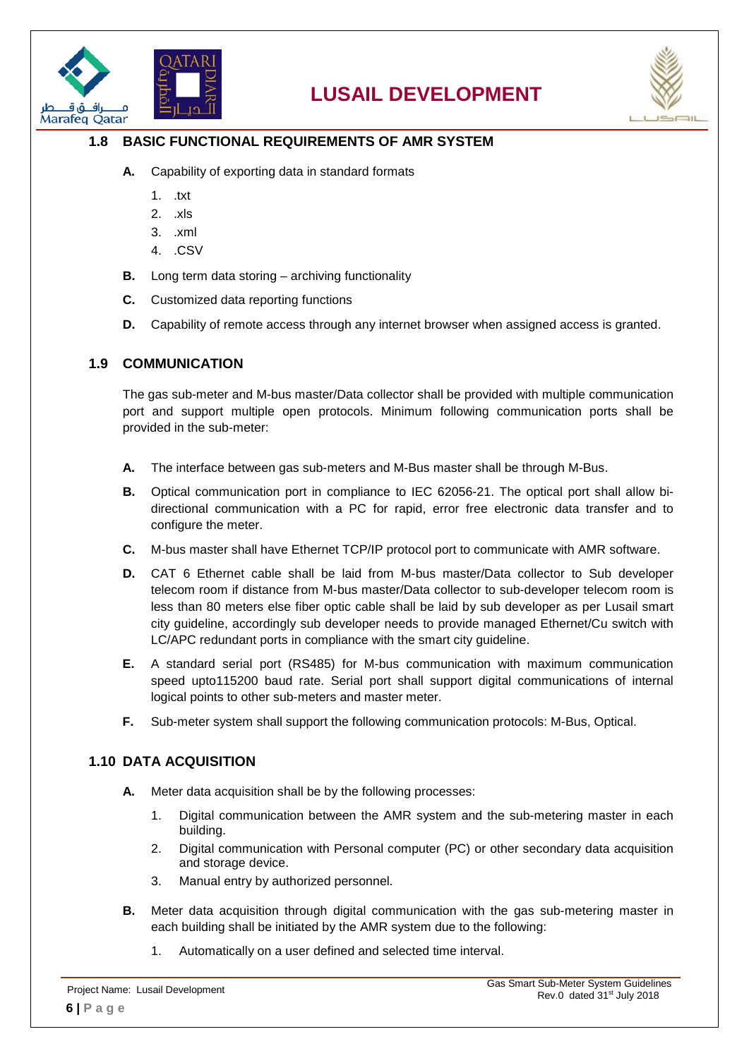



#### <span id="page-5-0"></span>**1.8 BASIC FUNCTIONAL REQUIREMENTS OF AMR SYSTEM**

- **A.** Capability of exporting data in standard formats
	- 1. .txt
	- 2. .xls
	- 3. .xml
	- 4. .CSV
- **B.** Long term data storing archiving functionality
- **C.** Customized data reporting functions
- **D.** Capability of remote access through any internet browser when assigned access is granted.

#### <span id="page-5-1"></span>**1.9 COMMUNICATION**

The gas sub-meter and M-bus master/Data collector shall be provided with multiple communication port and support multiple open protocols. Minimum following communication ports shall be provided in the sub-meter:

- **A.** The interface between gas sub-meters and M-Bus master shall be through M-Bus.
- **B.** Optical communication port in compliance to IEC 62056-21. The optical port shall allow bidirectional communication with a PC for rapid, error free electronic data transfer and to configure the meter.
- **C.** M-bus master shall have Ethernet TCP/IP protocol port to communicate with AMR software.
- **D.** CAT 6 Ethernet cable shall be laid from M-bus master/Data collector to Sub developer telecom room if distance from M-bus master/Data collector to sub-developer telecom room is less than 80 meters else fiber optic cable shall be laid by sub developer as per Lusail smart city guideline, accordingly sub developer needs to provide managed Ethernet/Cu switch with LC/APC redundant ports in compliance with the smart city guideline.
- **E.** A standard serial port (RS485) for M-bus communication with maximum communication speed upto115200 baud rate. Serial port shall support digital communications of internal logical points to other sub-meters and master meter.
- **F.** Sub-meter system shall support the following communication protocols: M-Bus, Optical.

#### <span id="page-5-2"></span>**1.10 DATA ACQUISITION**

- **A.** Meter data acquisition shall be by the following processes:
	- 1. Digital communication between the AMR system and the sub-metering master in each building.
	- 2. Digital communication with Personal computer (PC) or other secondary data acquisition and storage device.
	- 3. Manual entry by authorized personnel.
- **B.** Meter data acquisition through digital communication with the gas sub-metering master in each building shall be initiated by the AMR system due to the following:
	- 1. Automatically on a user defined and selected time interval.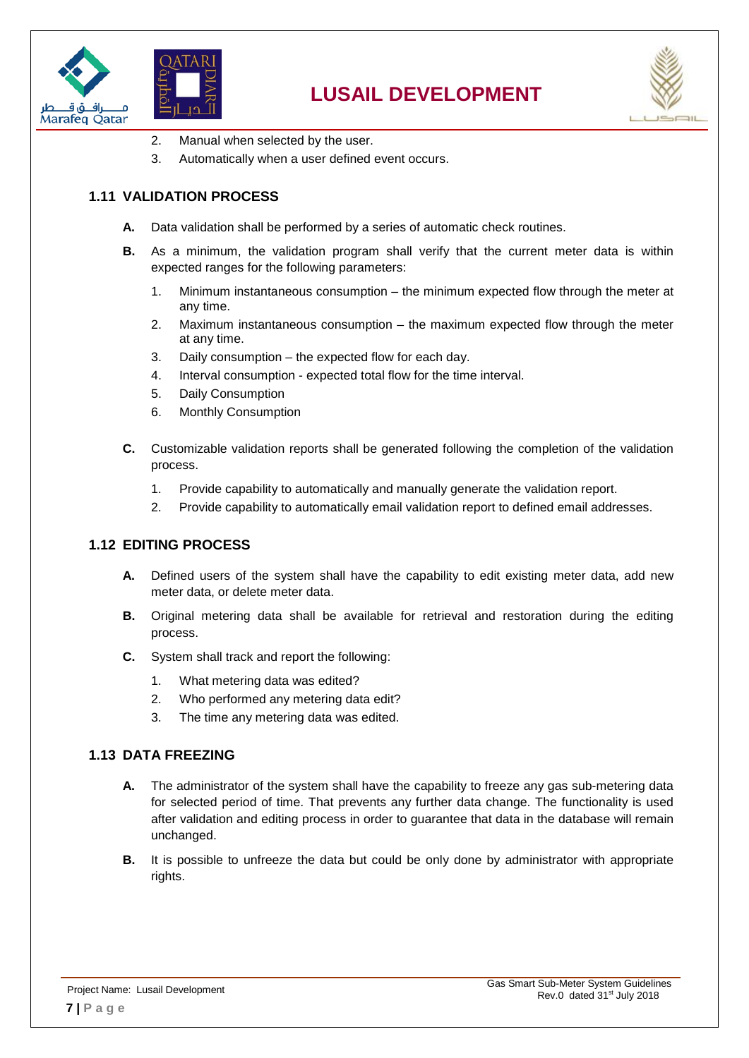





- 2. Manual when selected by the user.
- 3. Automatically when a user defined event occurs.

#### <span id="page-6-0"></span>**1.11 VALIDATION PROCESS**

- **A.** Data validation shall be performed by a series of automatic check routines.
- **B.** As a minimum, the validation program shall verify that the current meter data is within expected ranges for the following parameters:
	- 1. Minimum instantaneous consumption the minimum expected flow through the meter at any time.
	- 2. Maximum instantaneous consumption the maximum expected flow through the meter at any time.
	- 3. Daily consumption the expected flow for each day.
	- 4. Interval consumption expected total flow for the time interval.
	- 5. Daily Consumption
	- 6. Monthly Consumption
- **C.** Customizable validation reports shall be generated following the completion of the validation process.
	- 1. Provide capability to automatically and manually generate the validation report.
	- 2. Provide capability to automatically email validation report to defined email addresses.

#### <span id="page-6-1"></span>**1.12 EDITING PROCESS**

- **A.** Defined users of the system shall have the capability to edit existing meter data, add new meter data, or delete meter data.
- **B.** Original metering data shall be available for retrieval and restoration during the editing process.
- **C.** System shall track and report the following:
	- 1. What metering data was edited?
	- 2. Who performed any metering data edit?
	- 3. The time any metering data was edited.

#### <span id="page-6-2"></span>**1.13 DATA FREEZING**

- **A.** The administrator of the system shall have the capability to freeze any gas sub-metering data for selected period of time. That prevents any further data change. The functionality is used after validation and editing process in order to guarantee that data in the database will remain unchanged.
- **B.** It is possible to unfreeze the data but could be only done by administrator with appropriate rights.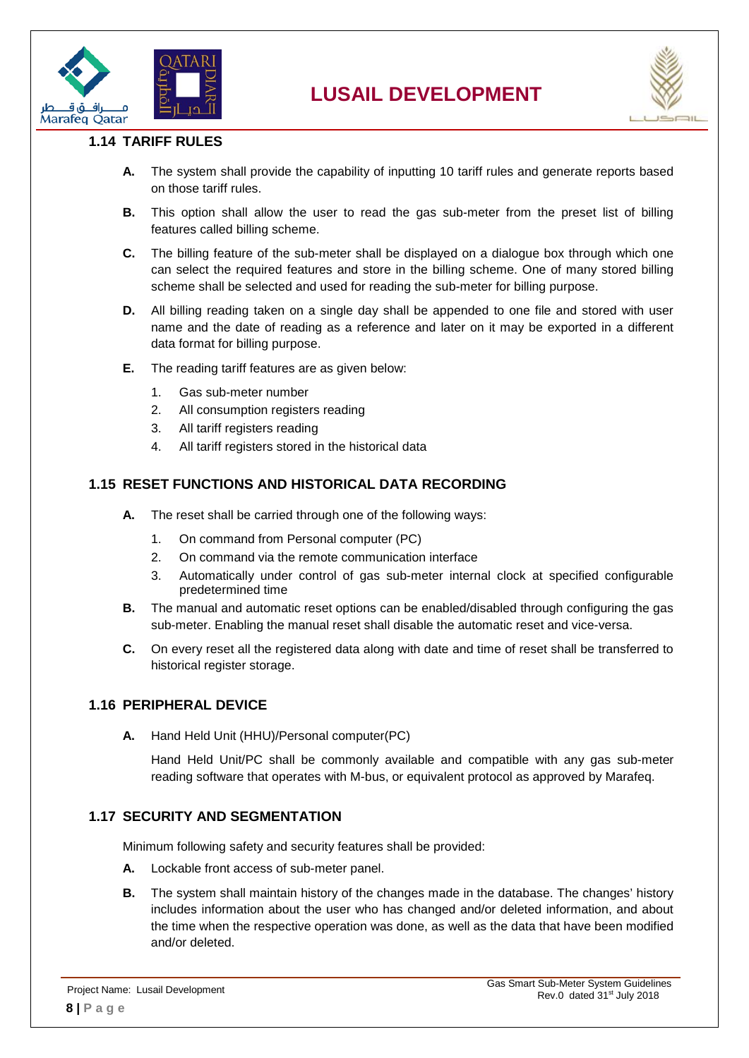



#### <span id="page-7-0"></span>**1.14 TARIFF RULES**

- **A.** The system shall provide the capability of inputting 10 tariff rules and generate reports based on those tariff rules.
- **B.** This option shall allow the user to read the gas sub-meter from the preset list of billing features called billing scheme.
- **C.** The billing feature of the sub-meter shall be displayed on a dialogue box through which one can select the required features and store in the billing scheme. One of many stored billing scheme shall be selected and used for reading the sub-meter for billing purpose.
- **D.** All billing reading taken on a single day shall be appended to one file and stored with user name and the date of reading as a reference and later on it may be exported in a different data format for billing purpose.
- **E.** The reading tariff features are as given below:
	- 1. Gas sub-meter number
	- 2. All consumption registers reading
	- 3. All tariff registers reading
	- 4. All tariff registers stored in the historical data

#### <span id="page-7-1"></span>**1.15 RESET FUNCTIONS AND HISTORICAL DATA RECORDING**

- **A.** The reset shall be carried through one of the following ways:
	- 1. On command from Personal computer (PC)
	- 2. On command via the remote communication interface
	- 3. Automatically under control of gas sub-meter internal clock at specified configurable predetermined time
- **B.** The manual and automatic reset options can be enabled/disabled through configuring the gas sub-meter. Enabling the manual reset shall disable the automatic reset and vice-versa.
- **C.** On every reset all the registered data along with date and time of reset shall be transferred to historical register storage.

#### <span id="page-7-2"></span>**1.16 PERIPHERAL DEVICE**

**A.** Hand Held Unit (HHU)/Personal computer(PC)

Hand Held Unit/PC shall be commonly available and compatible with any gas sub-meter reading software that operates with M-bus, or equivalent protocol as approved by Marafeq.

#### <span id="page-7-3"></span>**1.17 SECURITY AND SEGMENTATION**

Minimum following safety and security features shall be provided:

- **A.** Lockable front access of sub-meter panel.
- **B.** The system shall maintain history of the changes made in the database. The changes' history includes information about the user who has changed and/or deleted information, and about the time when the respective operation was done, as well as the data that have been modified and/or deleted.